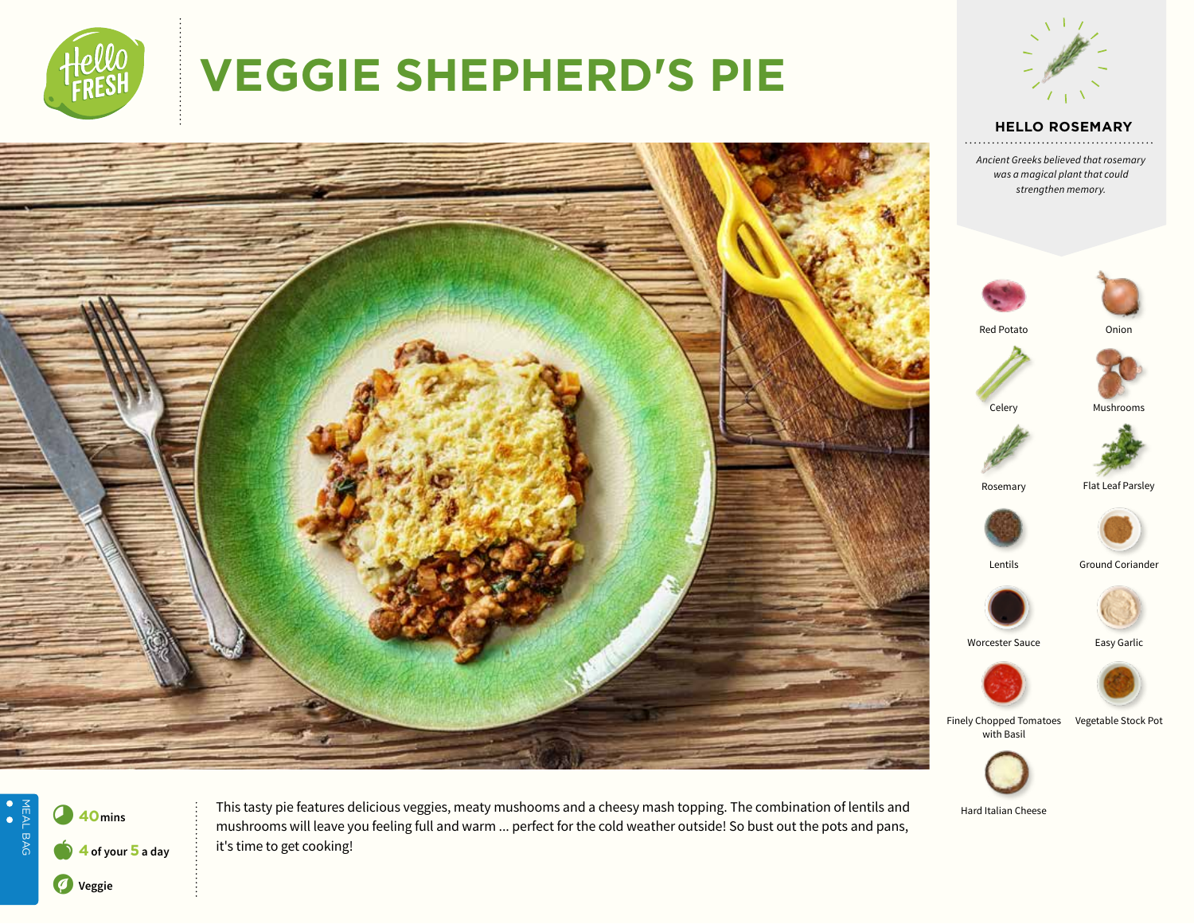

# **VEGGIE SHEPHERD'S PIE**



## **HELLO ROSEMARY**

*Ancient Greeks believed that rosemary was a magical plant that could strengthen memory.* 





Finely Chopped Tomatoes Vegetable Stock Pot with Basil



Hard Italian Cheese



This tasty pie features delicious veggies, meaty mushooms and a cheesy mash topping. The combination of lentils and mushrooms will leave you feeling full and warm ... perfect for the cold weather outside! So bust out the pots and pans, it's time to get cooking!



Red Potato